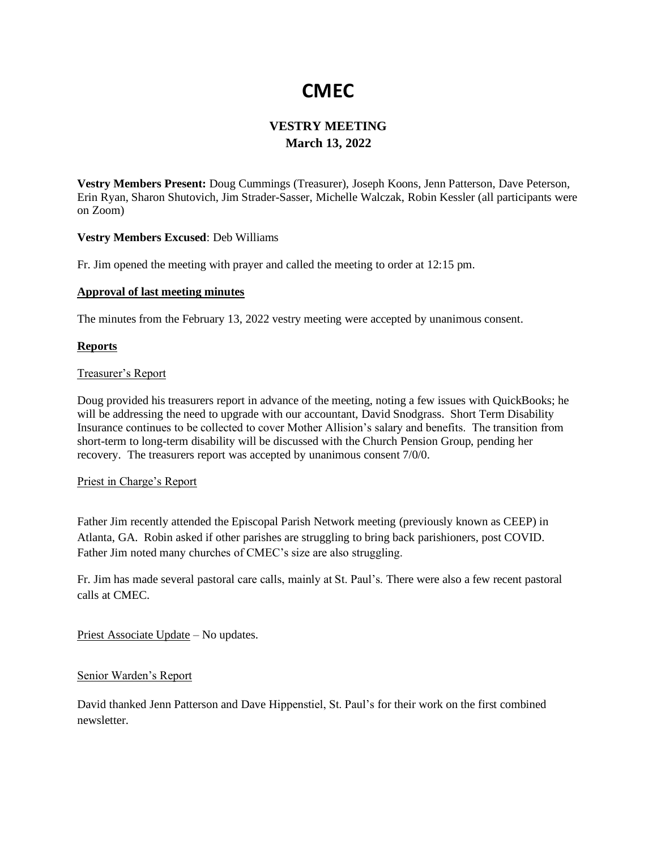# **CMEC**

# **VESTRY MEETING March 13, 2022**

**Vestry Members Present:** Doug Cummings (Treasurer), Joseph Koons, Jenn Patterson, Dave Peterson, Erin Ryan, Sharon Shutovich, Jim Strader-Sasser, Michelle Walczak, Robin Kessler (all participants were on Zoom)

# **Vestry Members Excused**: Deb Williams

Fr. Jim opened the meeting with prayer and called the meeting to order at 12:15 pm.

# **Approval of last meeting minutes**

The minutes from the February 13, 2022 vestry meeting were accepted by unanimous consent.

# **Reports**

# Treasurer's Report

Doug provided his treasurers report in advance of the meeting, noting a few issues with QuickBooks; he will be addressing the need to upgrade with our accountant, David Snodgrass. Short Term Disability Insurance continues to be collected to cover Mother Allision's salary and benefits. The transition from short-term to long-term disability will be discussed with the Church Pension Group, pending her recovery. The treasurers report was accepted by unanimous consent 7/0/0.

#### Priest in Charge's Report

Father Jim recently attended the Episcopal Parish Network meeting (previously known as CEEP) in Atlanta, GA. Robin asked if other parishes are struggling to bring back parishioners, post COVID. Father Jim noted many churches of CMEC's size are also struggling.

Fr. Jim has made several pastoral care calls, mainly at St. Paul's. There were also a few recent pastoral calls at CMEC.

Priest Associate Update – No updates.

#### Senior Warden's Report

David thanked Jenn Patterson and Dave Hippenstiel, St. Paul's for their work on the first combined newsletter.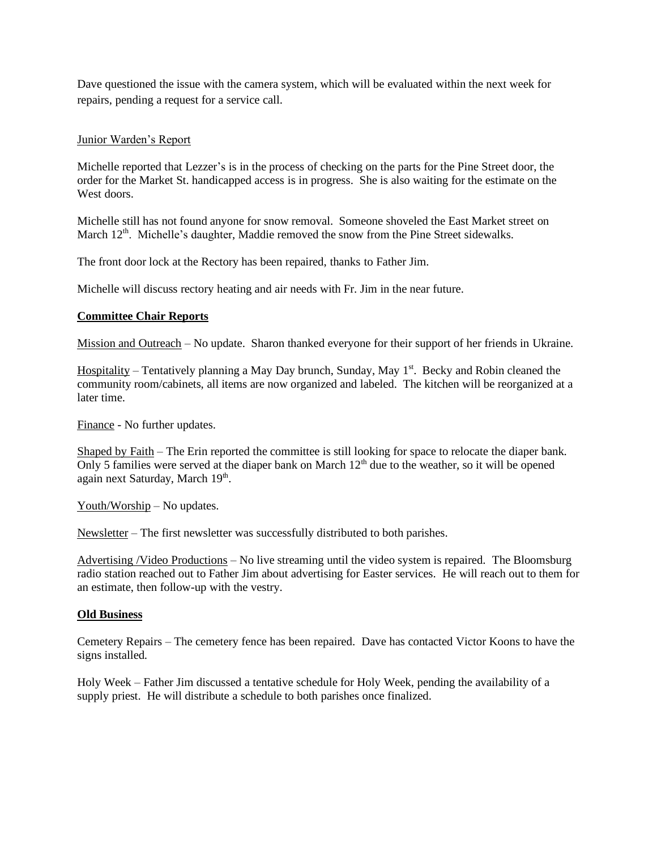Dave questioned the issue with the camera system, which will be evaluated within the next week for repairs, pending a request for a service call.

# Junior Warden's Report

Michelle reported that Lezzer's is in the process of checking on the parts for the Pine Street door, the order for the Market St. handicapped access is in progress. She is also waiting for the estimate on the West doors.

Michelle still has not found anyone for snow removal. Someone shoveled the East Market street on March 12<sup>th</sup>. Michelle's daughter, Maddie removed the snow from the Pine Street sidewalks.

The front door lock at the Rectory has been repaired, thanks to Father Jim.

Michelle will discuss rectory heating and air needs with Fr. Jim in the near future.

# **Committee Chair Reports**

Mission and Outreach – No update. Sharon thanked everyone for their support of her friends in Ukraine.

Hospitality – Tentatively planning a May Day brunch, Sunday, May 1<sup>st</sup>. Becky and Robin cleaned the community room/cabinets, all items are now organized and labeled. The kitchen will be reorganized at a later time.

Finance - No further updates.

Shaped by Faith – The Erin reported the committee is still looking for space to relocate the diaper bank. Only 5 families were served at the diaper bank on March  $12<sup>th</sup>$  due to the weather, so it will be opened again next Saturday, March 19<sup>th</sup>.

Youth/Worship – No updates.

Newsletter – The first newsletter was successfully distributed to both parishes.

Advertising /Video Productions – No live streaming until the video system is repaired. The Bloomsburg radio station reached out to Father Jim about advertising for Easter services. He will reach out to them for an estimate, then follow-up with the vestry.

#### **Old Business**

Cemetery Repairs – The cemetery fence has been repaired. Dave has contacted Victor Koons to have the signs installed.

Holy Week – Father Jim discussed a tentative schedule for Holy Week, pending the availability of a supply priest. He will distribute a schedule to both parishes once finalized.